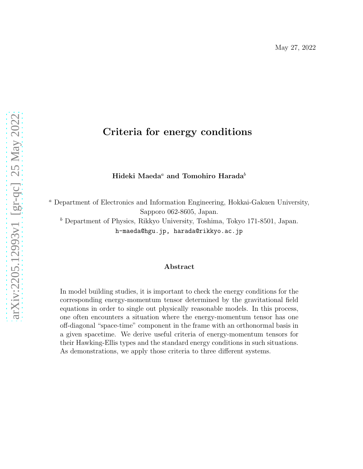# Criteria for energy conditions

Hideki Maeda<sup>a</sup> and Tomohiro Harada<sup>b</sup>

<sup>a</sup> Department of Electronics and Information Engineering, Hokkai-Gakuen University, Sapporo 062-8605, Japan.

 $<sup>b</sup>$  Department of Physics, Rikkyo University, Toshima, Tokyo 171-8501, Japan.</sup> h-maeda@hgu.jp, harada@rikkyo.ac.jp

#### Abstract

In model building studies, it is important to check the energy conditions for the corresponding energy-momentum tensor determined by the gravitational field equations in order to single out physically reasonable models. In this process, one often encounters a situation where the energy-momentum tensor has one off-diagonal "space-time" component in the frame with an orthonormal basis in a given spacetime. We derive useful criteria of energy-momentum tensors for their Hawking-Ellis types and the standard energy conditions in such situations. As demonstrations, we apply those criteria to three different systems.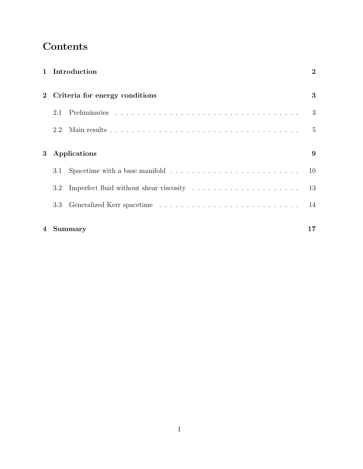# Contents

|   |                                | 1 Introduction                                                                                  | $\overline{2}$ |
|---|--------------------------------|-------------------------------------------------------------------------------------------------|----------------|
|   | Criteria for energy conditions |                                                                                                 | 3              |
|   | 2.1                            |                                                                                                 | 3              |
|   | 2.2                            |                                                                                                 | $\frac{5}{2}$  |
| 3 | Applications                   |                                                                                                 |                |
|   | 3.1                            | Spacetime with a base manifold $\ldots \ldots \ldots \ldots \ldots \ldots \ldots \ldots \ldots$ | 10             |
|   | 3.2                            |                                                                                                 | 13             |
|   | 3.3                            |                                                                                                 | 14             |
|   | 4 Summary                      |                                                                                                 | 17             |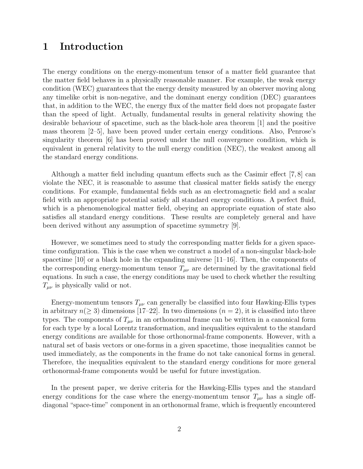# 1 Introduction

The energy conditions on the energy-momentum tensor of a matter field guarantee that the matter field behaves in a physically reasonable manner. For example, the weak energy condition (WEC) guarantees that the energy density measured by an observer moving along any timelike orbit is non-negative, and the dominant energy condition (DEC) guarantees that, in addition to the WEC, the energy flux of the matter field does not propagate faster than the speed of light. Actually, fundamental results in general relativity showing the desirable behaviour of spacetime, such as the black-hole area theorem [1] and the positive mass theorem [2–5], have been proved under certain energy conditions. Also, Penrose's singularity theorem [6] has been proved under the null convergence condition, which is equivalent in general relativity to the null energy condition (NEC), the weakest among all the standard energy conditions.

Although a matter field including quantum effects such as the Casimir effect  $(7, 8)$  can violate the NEC, it is reasonable to assume that classical matter fields satisfy the energy conditions. For example, fundamental fields such as an electromagnetic field and a scalar field with an appropriate potential satisfy all standard energy conditions. A perfect fluid, which is a phenomenological matter field, obeying an appropriate equation of state also satisfies all standard energy conditions. These results are completely general and have been derived without any assumption of spacetime symmetry [9].

However, we sometimes need to study the corresponding matter fields for a given spacetime configuration. This is the case when we construct a model of a non-singular black-hole spacetime [10] or a black hole in the expanding universe [11–16]. Then, the components of the corresponding energy-momentum tensor  $T_{\mu\nu}$  are determined by the gravitational field equations. In such a case, the energy conditions may be used to check whether the resulting  $T_{\mu\nu}$  is physically valid or not.

Energy-momentum tensors  $T_{\mu\nu}$  can generally be classified into four Hawking-Ellis types in arbitrary  $n(\geq 3)$  dimensions [17–22]. In two dimensions  $(n = 2)$ , it is classified into three types. The components of  $T_{\mu\nu}$  in an orthonormal frame can be written in a canonical form for each type by a local Lorentz transformation, and inequalities equivalent to the standard energy conditions are available for those orthonormal-frame components. However, with a natural set of basis vectors or one-forms in a given spacetime, those inequalities cannot be used immediately, as the components in the frame do not take canonical forms in general. Therefore, the inequalities equivalent to the standard energy conditions for more general orthonormal-frame components would be useful for future investigation.

In the present paper, we derive criteria for the Hawking-Ellis types and the standard energy conditions for the case where the energy-momentum tensor  $T_{\mu\nu}$  has a single offdiagonal "space-time" component in an orthonormal frame, which is frequently encountered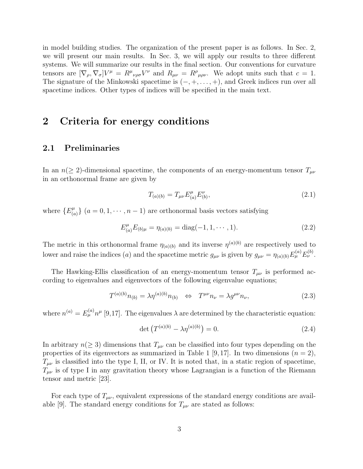in model building studies. The organization of the present paper is as follows. In Sec. 2, we will present our main results. In Sec. 3, we will apply our results to three different systems. We will summarize our results in the final section. Our conventions for curvature tensors are  $[\nabla_{\rho}, \nabla_{\sigma}]V^{\mu} = R^{\mu}{}_{\nu\rho\sigma}V^{\nu}$  and  $R_{\mu\nu} = R^{\rho}{}_{\mu\rho\nu}$ . We adopt units such that  $c = 1$ . The signature of the Minkowski spacetime is  $(-, +, \ldots, +)$ , and Greek indices run over all spacetime indices. Other types of indices will be specified in the main text.

### 2 Criteria for energy conditions

### 2.1 Preliminaries

In an  $n(\geq 2)$ -dimensional spacetime, the components of an energy-momentum tensor  $T_{\mu\nu}$ in an orthonormal frame are given by

$$
T_{(a)(b)} = T_{\mu\nu} E^{\mu}_{(a)} E^{\nu}_{(b)},
$$
\n(2.1)

where  $\{E^{\mu}_{(q)}\}$  ${(\mu)(a)}$  (a = 0, 1, · · · , n - 1) are orthonormal basis vectors satisfying

$$
E_{(a)}^{\mu} E_{(b)\mu} = \eta_{(a)(b)} = \text{diag}(-1, 1, \cdots, 1). \tag{2.2}
$$

The metric in this orthonormal frame  $\eta_{(a)(b)}$  and its inverse  $\eta^{(a)(b)}$  are respectively used to lower and raise the indices (a) and the spacetime metric  $g_{\mu\nu}$  is given by  $g_{\mu\nu} = \eta_{(a)(b)} E_{\mu}^{(a)} E_{\nu}^{(b)}$ .

The Hawking-Ellis classification of an energy-momentum tensor  $T_{\mu\nu}$  is performed according to eigenvalues and eigenvectors of the following eigenvalue equations;

$$
T^{(a)(b)}n_{(b)} = \lambda \eta^{(a)(b)}n_{(b)} \iff T^{\mu\nu}n_{\nu} = \lambda g^{\mu\nu}n_{\nu},\tag{2.3}
$$

where  $n^{(a)} = E_{\mu}^{(a)} n^{\mu}$  [9,17]. The eigenvalues  $\lambda$  are determined by the characteristic equation:

$$
\det \left( T^{(a)(b)} - \lambda \eta^{(a)(b)} \right) = 0.
$$
 (2.4)

In arbitrary  $n(\geq 3)$  dimensions that  $T_{\mu\nu}$  can be classified into four types depending on the properties of its eigenvectors as summarized in Table 1 [9, 17]. In two dimensions  $(n = 2)$ ,  $T_{\mu\nu}$  is classified into the type I, II, or IV. It is noted that, in a static region of spacetime,  $T_{\mu\nu}$  is of type I in any gravitation theory whose Lagrangian is a function of the Riemann tensor and metric [23].

For each type of  $T_{\mu\nu}$ , equivalent expressions of the standard energy conditions are available [9]. The standard energy conditions for  $T_{\mu\nu}$  are stated as follows: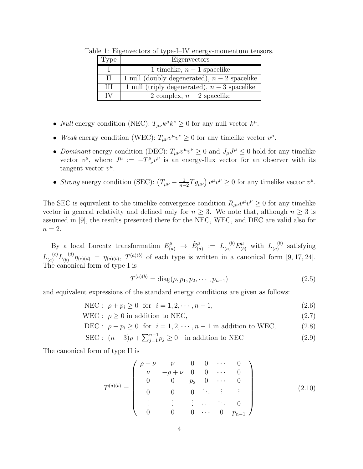| Type | Eigenvectors                                 |
|------|----------------------------------------------|
|      | 1 timelike, $n-1$ spacelike                  |
| H    | 1 null (doubly degenerated), $n-2$ spacelike |
| Ħ    | 1 null (triply degenerated), $n-3$ spacelike |
| ΙV   | 2 complex, $n-2$ spacelike                   |

Table 1: Eigenvectors of type-I–IV energy-momentum tensors.

- *Null* energy condition (NEC):  $T_{\mu\nu}k^{\mu}k^{\nu} \ge 0$  for any null vector  $k^{\mu}$ .
- *Weak* energy condition (WEC):  $T_{\mu\nu}v^{\mu}v^{\nu} \ge 0$  for any timelike vector  $v^{\mu}$ .
- *Dominant* energy condition (DEC):  $T_{\mu\nu}v^{\mu}v^{\nu} \ge 0$  and  $J_{\mu}J^{\mu} \le 0$  hold for any timelike vector  $v^{\mu}$ , where  $J^{\mu} := -T^{\mu}_{\ \nu}v^{\nu}$  is an energy-flux vector for an observer with its tangent vector  $v^{\mu}$ .
- *Strong* energy condition (SEC):  $(T_{\mu\nu} \frac{1}{n-2}Tg_{\mu\nu})v^{\mu}v^{\nu} \ge 0$  for any timelike vector  $v^{\mu}$ .

The SEC is equivalent to the timelike convergence condition  $R_{\mu\nu}v^{\mu}v^{\nu} \ge 0$  for any timelike vector in general relativity and defined only for  $n \geq 3$ . We note that, although  $n \geq 3$  is assumed in [9], the results presented there for the NEC, WEC, and DEC are valid also for  $n=2$ .

By a local Lorentz transformation  $E_{(a)}^{\mu} \rightarrow \tilde{E}_{(a)}^{\mu} := L_{(a)}^{(b)} E_{(b)}^{\mu}$  with  $L_{(a)}^{(b)}$  $\binom{0}{a}$  satisfying  $L_{(a)}^{(c)}L_{(b)}^{(d)}$  $\eta_{(b)}^{(d)}\eta_{(c)(d)} = \eta_{(a)(b)}, T^{(a)(b)}$  of each type is written in a canonical form [9, 17, 24]. The canonical form of type I is

$$
T^{(a)(b)} = \text{diag}(\rho, p_1, p_2, \cdots, p_{n-1})
$$
\n(2.5)

and equivalent expressions of the standard energy conditions are given as follows:

$$
NEC: \ \rho + p_i \ge 0 \ \text{for} \ i = 1, 2, \cdots, n - 1,
$$
\n(2.6)

$$
WEC: \ \rho \ge 0 \text{ in addition to NEC},\tag{2.7}
$$

$$
\text{DEC: } \rho - p_i \ge 0 \quad \text{for} \quad i = 1, 2, \cdots, n - 1 \text{ in addition to WEC}, \tag{2.8}
$$

SEC :  $(n-3)\rho + \sum_{j=1}^{n-1} p_j \ge 0$  in addition to NEC (2.9)

The canonical form of type II is

$$
T^{(a)(b)} = \begin{pmatrix} \rho + \nu & \nu & 0 & 0 & \cdots & 0 \\ \nu & -\rho + \nu & 0 & 0 & \cdots & 0 \\ 0 & 0 & p_2 & 0 & \cdots & 0 \\ 0 & 0 & 0 & \ddots & \vdots & \vdots \\ \vdots & \vdots & \vdots & \cdots & \ddots & 0 \\ 0 & 0 & 0 & \cdots & 0 & p_{n-1} \end{pmatrix}
$$
(2.10)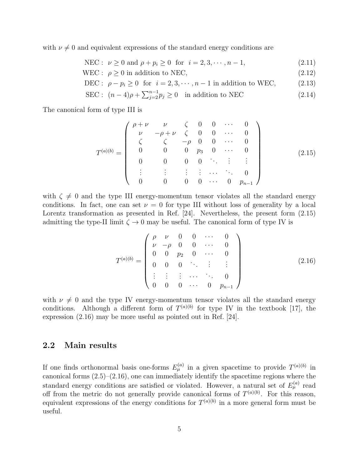with  $\nu \neq 0$  and equivalent expressions of the standard energy conditions are

NEC :  $\nu \ge 0$  and  $\rho + p_i \ge 0$  for  $i = 2, 3, \dots, n - 1$ , (2.11)

- WEC :  $\rho > 0$  in addition to NEC, (2.12)
- DEC :  $\rho p_i \ge 0$  for  $i = 2, 3, \dots, n 1$  in addition to WEC, (2.13)
- SEC :  $(n-4)\rho + \sum_{j=2}^{n-1} p_j \ge 0$  in addition to NEC (2.14)

The canonical form of type III is

$$
T^{(a)(b)} = \begin{pmatrix} \rho + \nu & \nu & \zeta & 0 & 0 & \cdots & 0 \\ \nu & -\rho + \nu & \zeta & 0 & 0 & \cdots & 0 \\ \zeta & \zeta & -\rho & 0 & 0 & \cdots & 0 \\ 0 & 0 & 0 & p_3 & 0 & \cdots & 0 \\ 0 & 0 & 0 & 0 & \ddots & \vdots & \vdots \\ \vdots & \vdots & \vdots & \vdots & \cdots & \ddots & 0 \\ 0 & 0 & 0 & 0 & \cdots & 0 & p_{n-1} \end{pmatrix}
$$
(2.15)

with  $\zeta \neq 0$  and the type III energy-momentum tensor violates all the standard energy conditions. In fact, one can set  $\nu = 0$  for type III without loss of generality by a local Lorentz transformation as presented in Ref. [24]. Nevertheless, the present form  $(2.15)$ admitting the type-II limit  $\zeta \to 0$  may be useful. The canonical form of type IV is

$$
T^{(a)(b)} = \begin{pmatrix} \rho & \nu & 0 & 0 & \cdots & 0 \\ \nu & -\rho & 0 & 0 & \cdots & 0 \\ 0 & 0 & p_2 & 0 & \cdots & 0 \\ 0 & 0 & 0 & \ddots & \vdots & \vdots \\ \vdots & \vdots & \vdots & \cdots & \ddots & 0 \\ 0 & 0 & 0 & \cdots & 0 & p_{n-1} \end{pmatrix}
$$
(2.16)

with  $\nu \neq 0$  and the type IV energy-momentum tensor violates all the standard energy conditions. Although a different form of  $T^{(a)(b)}$  for type IV in the textbook [17], the expression (2.16) may be more useful as pointed out in Ref. [24].

#### 2.2 Main results

If one finds orthonormal basis one-forms  $E_{\mu}^{(a)}$  in a given spacetime to provide  $T^{(a)(b)}$  in canonical forms (2.5)–(2.16), one can immediately identify the spacetime regions where the standard energy conditions are satisfied or violated. However, a natural set of  $E_{\mu}^{(a)}$  read off from the metric do not generally provide canonical forms of  $T^{(a)(b)}$ . For this reason, equivalent expressions of the energy conditions for  $T^{(a)(b)}$  in a more general form must be useful.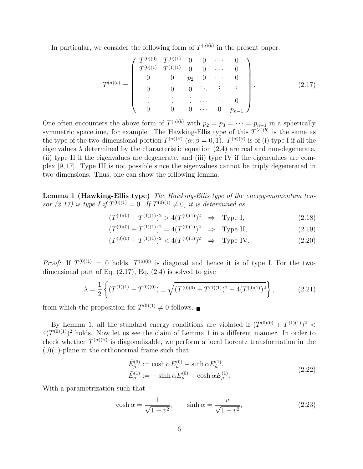In particular, we consider the following form of  $T^{(a)(b)}$  in the present paper:

$$
T^{(a)(b)} = \begin{pmatrix} T^{(0)(0)} & T^{(0)(1)} & 0 & 0 & \cdots & 0 \\ T^{(0)(1)} & T^{(1)(1)} & 0 & 0 & \cdots & 0 \\ 0 & 0 & p_2 & 0 & \cdots & 0 \\ 0 & 0 & 0 & \ddots & \vdots & \vdots \\ \vdots & \vdots & \vdots & \cdots & \ddots & 0 \\ 0 & 0 & 0 & \cdots & 0 & p_{n-1} \end{pmatrix} .
$$
 (2.17)

One often encounters the above form of  $T^{(a)(b)}$  with  $p_2 = p_3 = \cdots = p_{n-1}$  in a spherically symmetric spacetime, for example. The Hawking-Ellis type of this  $T^{(a)(b)}$  is the same as the type of the two-dimensional portion  $T^{(\alpha)(\beta)}$   $(\alpha, \beta = 0, 1)$ .  $T^{(\alpha)(\beta)}$  is of (i) type I if all the eigenvalues  $\lambda$  determined by the characteristic equation (2.4) are real and non-degenerate, (ii) type II if the eigenvalues are degenerate, and (iii) type IV if the eigenvalues are complex [9, 17]. Type III is not possible since the eigenvalues cannot be triply degenerated in two dimensions. Thus, one can show the following lemma.

Lemma 1 (Hawking-Ellis type) *The Hawking-Ellis type of the energy-momentum tensor* (2.17) is type I if  $T^{(0)(1)} = 0$ . If  $T^{(0)(1)} \neq 0$ , it is determined as

$$
(T^{(0)(0)} + T^{(1)(1)})^2 > 4(T^{(0)(1)})^2 \Rightarrow \text{Type I}, \tag{2.18}
$$

$$
(T^{(0)(0)} + T^{(1)(1)})^2 = 4(T^{(0)(1)})^2 \Rightarrow \text{Type II}, \tag{2.19}
$$

$$
(T^{(0)(0)} + T^{(1)(1)})^2 < 4(T^{(0)(1)})^2 \quad \Rightarrow \quad \text{Type IV.} \tag{2.20}
$$

*Proof:* If  $T^{(0)(1)} = 0$  holds,  $T^{(a)(b)}$  is diagonal and hence it is of type I. For the twodimensional part of Eq.  $(2.17)$ , Eq.  $(2.4)$  is solved to give

$$
\lambda = \frac{1}{2} \left\{ (T^{(1)(1)} - T^{(0)(0)}) \pm \sqrt{(T^{(0)(0)} + T^{(1)(1)})^2 - 4(T^{(0)(1)})^2} \right\},
$$
\n(2.21)

from which the proposition for  $T^{(0)(1)} \neq 0$  follows.

By Lemma 1, all the standard energy conditions are violated if  $(T^{(0)(0)} + T^{(1)(1)})^2$  $4(T^{(0)(1)})^2$  holds. Now let us see the claim of Lemma 1 in a different manner. In order to check whether  $T^{(\alpha)(\beta)}$  is diagonalizable, we perform a local Lorentz transformation in the  $(0)(1)$ -plane in the orthonormal frame such that

$$
\tilde{E}_{\mu}^{(0)} := \cosh \alpha E_{\mu}^{(0)} - \sinh \alpha E_{\mu}^{(1)}, \n\tilde{E}_{\mu}^{(1)} := -\sinh \alpha E_{\mu}^{(0)} + \cosh \alpha E_{\mu}^{(1)}.
$$
\n(2.22)

With a parametrization such that

$$
\cosh \alpha = \frac{1}{\sqrt{1 - v^2}}, \qquad \sinh \alpha = \frac{v}{\sqrt{1 - v^2}}, \tag{2.23}
$$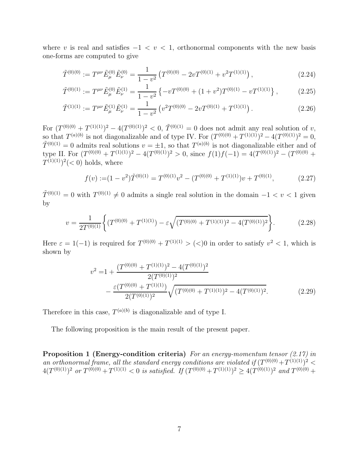where v is real and satisfies  $-1 < v < 1$ , orthonormal components with the new basis one-forms are computed to give

$$
\tilde{T}^{(0)(0)} := T^{\mu\nu}\tilde{E}^{(0)}_{\mu}\tilde{E}^{(0)}_{\nu} = \frac{1}{1 - v^2} \left( T^{(0)(0)} - 2vT^{(0)(1)} + v^2T^{(1)(1)} \right),\tag{2.24}
$$

$$
\tilde{T}^{(0)(1)} := T^{\mu\nu}\tilde{E}^{(0)}_{\mu}\tilde{E}^{(1)}_{\nu} = \frac{1}{1 - v^2} \left\{ -vT^{(0)(0)} + (1 + v^2)T^{(0)(1)} - vT^{(1)(1)} \right\},\tag{2.25}
$$

$$
\tilde{T}^{(1)(1)} := T^{\mu\nu}\tilde{E}^{(1)}_{\mu}\tilde{E}^{(1)}_{\nu} = \frac{1}{1 - v^2} \left( v^2 T^{(0)(0)} - 2v T^{(0)(1)} + T^{(1)(1)} \right). \tag{2.26}
$$

For  $(T^{(0)(0)} + T^{(1)(1)})^2 - 4(T^{(0)(1)})^2 < 0$ ,  $\tilde{T}^{(0)(1)} = 0$  does not admit any real solution of v, so that  $T^{(a)(b)}$  is not diagonalizable and of type IV. For  $(T^{(0)(0)} + T^{(1)(1)})^2 - 4(T^{(0)(1)})^2 = 0$ ,  $\tilde{T}^{(0)(1)} = 0$  admits real solutions  $v = \pm 1$ , so that  $T^{(a)(b)}$  is not diagonalizable either and of type II. For  $(T^{(0)(0)} + T^{(1)(1)})^2 - 4(T^{(0)(1)})^2 > 0$ , since  $f(1)f(-1) = 4(T^{(0)(1)})^2 - (T^{(0)(0)} +$  $T^{(1)(1)}$ <sup>2</sup>(< 0) holds, where

$$
f(v) := (1 - v^2)\tilde{T}^{(0)(1)} = T^{(0)(1)}v^2 - (T^{(0)(0)} + T^{(1)(1)})v + T^{(0)(1)},
$$
\n(2.27)

 $\tilde{T}^{(0)(1)} = 0$  with  $T^{(0)(1)} \neq 0$  admits a single real solution in the domain  $-1 < v < 1$  given by

$$
v = \frac{1}{2T^{(0)(1)}} \left\{ (T^{(0)(0)} + T^{(1)(1)}) - \varepsilon \sqrt{(T^{(0)(0)} + T^{(1)(1)})^2 - 4(T^{(0)(1)})^2} \right\}.
$$
 (2.28)

Here  $\varepsilon = 1(-1)$  is required for  $T^{(0)(0)} + T^{(1)(1)} > (<)0$  in order to satisfy  $v^2 < 1$ , which is shown by

$$
v^{2} = 1 + \frac{(T^{(0)(0)} + T^{(1)(1)})^{2} - 4(T^{(0)(1)})^{2}}{2(T^{(0)(0)} + T^{(1)(1)})} - \frac{\varepsilon(T^{(0)(0)} + T^{(1)(1)})}{2(T^{(0)(1)})^{2}} \sqrt{(T^{(0)(0)} + T^{(1)(1)})^{2} - 4(T^{(0)(1)})^{2}}.
$$
\n(2.29)

Therefore in this case,  $T^{(a)(b)}$  is diagonalizable and of type I.

The following proposition is the main result of the present paper.

Proposition 1 (Energy-condition criteria) *For an energy-momentum tensor (2.17) in* an orthonormal frame, all the standard energy conditions are violated if  $(T^{(0)(0)} + T^{(1)(1)})^2$  $4(T^{(0)(1)})^2$  or  $T^{(0)(0)} + T^{(1)(1)} < 0$  is satisfied. If  $(T^{(0)(0)} + T^{(1)(1)})^2 \ge 4(T^{(0)(1)})^2$  and  $T^{(0)(0)} +$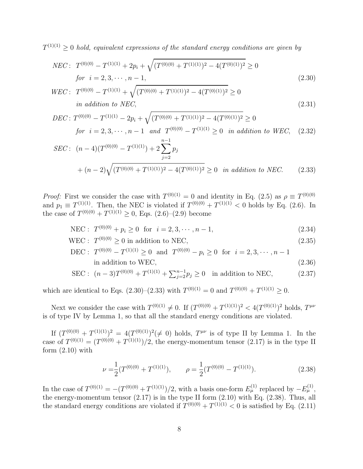$T^{(1)(1)} \geq 0$  *hold, equivalent expressions of the standard energy conditions are given by* 

$$
NEC: T^{(0)(0)} - T^{(1)(1)} + 2p_i + \sqrt{(T^{(0)(0)} + T^{(1)(1)})^2 - 4(T^{(0)(1)})^2} \ge 0
$$
  
for  $i = 2, 3, \dots, n - 1$ , (2.30)

$$
WEC: T^{(0)(0)} - T^{(1)(1)} + \sqrt{(T^{(0)(0)} + T^{(1)(1)})^2 - 4(T^{(0)(1)})^2} \ge 0
$$
  
in addition to *NEC*, (2.31)

$$
DEC: T^{(0)(0)} - T^{(1)(1)} - 2p_i + \sqrt{(T^{(0)(0)} + T^{(1)(1)})^2 - 4(T^{(0)(1)})^2} \ge 0
$$
  
for  $i = 2, 3, \dots, n - 1$  and  $T^{(0)(0)} - T^{(1)(1)} \ge 0$  in addition to WEC, (2.32)

$$
SEC: (n-4)(T^{(0)(0)} - T^{(1)(1)}) + 2\sum_{j=2}^{n-1} p_j
$$
  
+  $(n-2)\sqrt{(T^{(0)(0)} + T^{(1)(1)})^2 - 4(T^{(0)(1)})^2} \ge 0$  in addition to NEC. (2.33)

*Proof:* First we consider the case with  $T^{(0)(1)} = 0$  and identity in Eq. (2.5) as  $\rho \equiv T^{(0)(0)}$ and  $p_1 \equiv T^{(1)(1)}$ . Then, the NEC is violated if  $T^{(0)(0)} + T^{(1)(1)} < 0$  holds by Eq. (2.6). In the case of  $T^{(0)(0)} + T^{(1)(1)} \ge 0$ , Eqs.  $(2.6)-(2.9)$  become

$$
NEC: T^{(0)(0)} + p_i \ge 0 \text{ for } i = 2, 3, \cdots, n - 1,
$$
\n(2.34)

WEC :  $T^{(0)(0)} \ge 0$  in addition to NEC, (2.35)

DEC: 
$$
T^{(0)(0)} - T^{(1)(1)} \ge 0
$$
 and  $T^{(0)(0)} - p_i \ge 0$  for  $i = 2, 3, \dots, n - 1$   
in addition to WEC, (2.36)

$$
\text{SEC}: \ (n-3)T^{(0)(0)} + T^{(1)(1)} + \sum_{j=2}^{n-1} p_j \ge 0 \quad \text{in addition to NEC}, \tag{2.37}
$$

which are identical to Eqs.  $(2.30)$ – $(2.33)$  with  $T^{(0)(1)} = 0$  and  $T^{(0)(0)} + T^{(1)(1)} \ge 0$ .

Next we consider the case with  $T^{(0)(1)} \neq 0$ . If  $(T^{(0)(0)} + T^{(1)(1)})^2 < 4(T^{(0)(1)})^2$  holds,  $T^{\mu\nu}$ is of type IV by Lemma 1, so that all the standard energy conditions are violated.

If  $(T^{(0)(0)} + T^{(1)(1)})^2 = 4(T^{(0)(1)})^2 (\neq 0)$  holds,  $T^{\mu\nu}$  is of type II by Lemma 1. In the case of  $T^{(0)(1)} = (T^{(0)(0)} + T^{(1)(1)})/2$ , the energy-momentum tensor (2.17) is in the type II form  $(2.10)$  with

$$
\nu = \frac{1}{2} (T^{(0)(0)} + T^{(1)(1)}), \qquad \rho = \frac{1}{2} (T^{(0)(0)} - T^{(1)(1)}).
$$
 (2.38)

In the case of  $T^{(0)(1)} = -(T^{(0)(0)} + T^{(1)(1)})/2$ , with a basis one-form  $E_{\mu}^{(1)}$  replaced by  $-E_{\mu}^{(1)}$ , the energy-momentum tensor  $(2.17)$  is in the type II form  $(2.10)$  with Eq.  $(2.38)$ . Thus, all the standard energy conditions are violated if  $T^{(0)(0)} + T^{(1)(1)} < 0$  is satisfied by Eq. (2.11)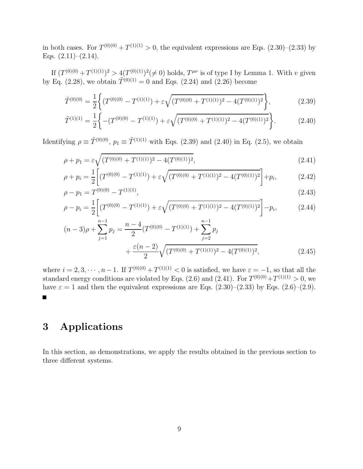in both cases. For  $T^{(0)(0)} + T^{(1)(1)} > 0$ , the equivalent expressions are Eqs.  $(2.30)$ - $(2.33)$  by Eqs.  $(2.11)–(2.14)$ .

If  $(T^{(0)(0)} + T^{(1)(1)})^2 > 4(T^{(0)(1)})^2 \neq 0$  holds,  $T^{\mu\nu}$  is of type I by Lemma 1. With v given by Eq. (2.28), we obtain  $\tilde{T}^{(0)(1)} = 0$  and Eqs. (2.24) and (2.26) become

$$
\tilde{T}^{(0)(0)} = \frac{1}{2} \left\{ (T^{(0)(0)} - T^{(1)(1)}) + \varepsilon \sqrt{(T^{(0)(0)} + T^{(1)(1)})^2 - 4(T^{(0)(1)})^2} \right\},\tag{2.39}
$$

$$
\tilde{T}^{(1)(1)} = \frac{1}{2} \left\{ -(T^{(0)(0)} - T^{(1)(1)}) + \varepsilon \sqrt{(T^{(0)(0)} + T^{(1)(1)})^2 - 4(T^{(0)(1)})^2} \right\}.
$$
\n(2.40)

Identifying  $\rho \equiv \tilde{T}^{(0)(0)}$ ,  $p_1 \equiv \tilde{T}^{(1)(1)}$  with Eqs. (2.39) and (2.40) in Eq. (2.5), we obtain

$$
\rho + p_1 = \varepsilon \sqrt{(T^{(0)(0)} + T^{(1)(1)})^2 - 4(T^{(0)(1)})^2},\tag{2.41}
$$

$$
\rho + p_i = \frac{1}{2} \left[ (T^{(0)(0)} - T^{(1)(1)}) + \varepsilon \sqrt{(T^{(0)(0)} + T^{(1)(1)})^2 - 4(T^{(0)(1)})^2} \right] + p_i,
$$
 (2.42)

$$
\rho - p_1 = T^{(0)(0)} - T^{(1)(1)},\tag{2.43}
$$

$$
\rho - p_i = \frac{1}{2} \left[ (T^{(0)(0)} - T^{(1)(1)}) + \varepsilon \sqrt{(T^{(0)(0)} + T^{(1)(1)})^2 - 4(T^{(0)(1)})^2} \right] - p_i,
$$
\n(2.44)

$$
(n-3)\rho + \sum_{j=1}^{n-1} p_j = \frac{n-4}{2} (T^{(0)(0)} - T^{(1)(1)}) + \sum_{j=2}^{n-1} p_j + \frac{\varepsilon(n-2)}{2} \sqrt{(T^{(0)(0)} + T^{(1)(1)})^2 - 4(T^{(0)(1)})^2},
$$
\n(2.45)

where  $i = 2, 3, \dots, n-1$ . If  $T^{(0)(0)} + T^{(1)(1)} < 0$  is satisfied, we have  $\varepsilon = -1$ , so that all the standard energy conditions are violated by Eqs. (2.6) and (2.41). For  $T^{(0)(0)} + T^{(1)(1)} > 0$ , we have  $\varepsilon = 1$  and then the equivalent expressions are Eqs. (2.30)–(2.33) by Eqs. (2.6)–(2.9).  $\blacksquare$ 

## 3 Applications

In this section, as demonstrations, we apply the results obtained in the previous section to three different systems.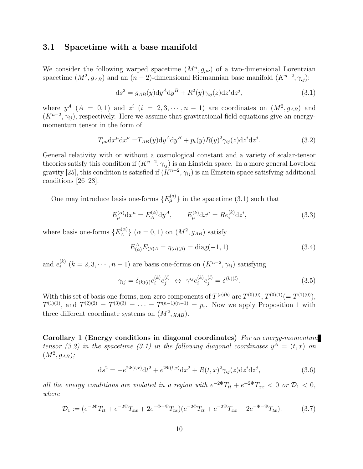### 3.1 Spacetime with a base manifold

We consider the following warped spacetime  $(M^n, g_{\mu\nu})$  of a two-dimensional Lorentzian spacetime  $(M^2, g_{AB})$  and an  $(n-2)$ -dimensional Riemannian base manifold  $(K^{n-2}, \gamma_{ij})$ :

$$
ds^{2} = g_{AB}(y)dy^{A}dy^{B} + R^{2}(y)\gamma_{ij}(z)dz^{i}dz^{j}, \qquad (3.1)
$$

where  $y^A$   $(A = 0, 1)$  and  $z^i$   $(i = 2, 3, \dots, n - 1)$  are coordinates on  $(M^2, g_{AB})$  and  $(K^{n-2}, \gamma_{ij})$ , respectively. Here we assume that gravitational field equations give an energymomentum tensor in the form of

$$
T_{\mu\nu}dx^{\mu}dx^{\nu} = T_{AB}(y)dy^A dy^B + p_t(y)R(y)^2 \gamma_{ij}(z)dz^i dz^j.
$$
 (3.2)

General relativity with or without a cosmological constant and a variety of scalar-tensor theories satisfy this condition if  $(K^{n-2}, \gamma_{ij})$  is an Einstein space. In a more general Lovelock gravity [25], this condition is satisfied if  $(K^{n-2}, \gamma_{ij})$  is an Einstein space satisfying additional conditions [26–28].

One may introduce basis one-forms  ${E_{\mu}^{(a)}}$  in the spacetime (3.1) such that

$$
E_{\mu}^{(\alpha)} dx^{\mu} = E_A^{(\alpha)} dy^A, \qquad E_{\mu}^{(k)} dx^{\mu} = Re_i^{(k)} dz^i,
$$
 (3.3)

where basis one-forms  $\{E_A^{(\alpha)}\}$  ${(\alpha)}_A$   $(\alpha = 0, 1)$  on  $(M^2, g_{AB})$  satisfy

$$
E_{(\alpha)}^{A} E_{(\beta)A} = \eta_{(\alpha)(\beta)} = \text{diag}(-1, 1)
$$
\n(3.4)

and  $e_i^{(k)}$  $i^{(k)}$   $(k = 2, 3, \cdots, n - 1)$  are basis one-forms on  $(K^{n-2}, \gamma_{ij})$  satisfying

$$
\gamma_{ij} = \delta_{(k)(l)} e_i^{(k)} e_j^{(l)} \leftrightarrow \gamma^{ij} e_i^{(k)} e_j^{(l)} = \delta^{(k)(l)}.
$$
\n(3.5)

With this set of basis one-forms, non-zero components of  $T^{(a)(b)}$  are  $T^{(0)(0)}$ ,  $T^{(0)(1)}(=T^{(1)(0)})$ ,  $T^{(1)(1)}$ , and  $T^{(2)(2)} = T^{(3)(3)} = \cdots = T^{(n-1)(n-1)} = p_t$ . Now we apply Proposition 1 with three different coordinate systems on  $(M^2, g_{AB})$ .

Corollary 1 (Energy conditions in diagonal coordinates) *For an energy-momentum tensor (3.2) in the spacetime (3.1) in the following diagonal coordinates*  $y^A = (t, x)$  *on*  $(M^2, g_{AB})$ ;

$$
ds^{2} = -e^{2\Phi(t,x)}dt^{2} + e^{2\Psi(t,x)}dx^{2} + R(t,x)^{2}\gamma_{ij}(z)dz^{i}dz^{j},
$$
\n(3.6)

*all the energy conditions are violated in a region with*  $e^{-2\Phi}T_{tt} + e^{-2\Psi}T_{xx} < 0$  or  $\mathcal{D}_1 < 0$ , *where*

$$
\mathcal{D}_1 := (e^{-2\Phi} T_{tt} + e^{-2\Psi} T_{xx} + 2e^{-\Phi - \Psi} T_{tx}) (e^{-2\Phi} T_{tt} + e^{-2\Psi} T_{xx} - 2e^{-\Phi - \Psi} T_{tx}). \tag{3.7}
$$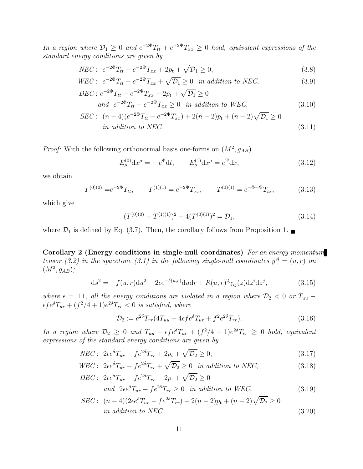*In a region where*  $\mathcal{D}_1 \geq 0$  *and*  $e^{-2\Phi}T_{tt} + e^{-2\Psi}T_{xx} \geq 0$  *hold, equivalent expressions of the standard energy conditions are given by*

$$
NEC: \ e^{-2\Phi}T_{tt} - e^{-2\Psi}T_{xx} + 2p_t + \sqrt{\mathcal{D}_1} \ge 0,
$$
\n(3.8)

$$
WEC: e^{-2\Phi}T_{tt} - e^{-2\Psi}T_{xx} + \sqrt{\mathcal{D}_1} \ge 0 \text{ in addition to NEC},
$$
\n
$$
PFC: e^{2\Phi}T_{tt} - e^{-2\Psi}T_{xx} + \sqrt{\mathcal{D}_1} \ge 0 \text{ in addition to NEC},
$$
\n(3.9)

$$
DEC: e^{-2\Phi}T_{tt} - e^{-2\Psi}T_{xx} - 2p_t + \sqrt{\mathcal{D}_1} \ge 0
$$
  
and  $e^{-2\Phi}T_{tt} - e^{-2\Psi}T_{xx} \ge 0$  in addition to WEC, (3.10)

$$
SEC: (n-4)(e^{-2\Phi}T_{tt} - e^{-2\Psi}T_{xx}) + 2(n-2)p_t + (n-2)\sqrt{\mathcal{D}_1} \ge 0
$$
  
in addition to *NEC*. (3.11)

*Proof:* With the following orthonormal basis one-forms on  $(M^2, g_{AB})$ 

$$
E_{\mu}^{(0)} dx^{\mu} = -e^{\Phi} dt, \qquad E_{\mu}^{(1)} dx^{\mu} = e^{\Psi} dx,
$$
\n(3.12)

we obtain

$$
T^{(0)(0)} = e^{-2\Phi} T_{tt}, \qquad T^{(1)(1)} = e^{-2\Psi} T_{xx}, \qquad T^{(0)(1)} = e^{-\Phi - \Psi} T_{tx}, \qquad (3.13)
$$

which give

$$
(T^{(0)(0)} + T^{(1)(1)})^2 - 4(T^{(0)(1)})^2 = \mathcal{D}_1,
$$
\n(3.14)

where  $\mathcal{D}_1$  is defined by Eq. (3.7). Then, the corollary follows from Proposition 1.

Corollary 2 (Energy conditions in single-null coordinates) *For an energy-momentum tensor (3.2) in the spacetime (3.1) in the following single-null coordinates*  $y^A = (u, r)$  *on*  $(M^2, g_{AB})$ ;

$$
ds2 = -f(u,r)du2 - 2\epsilon e^{-\delta(u,r)}du dr + R(u,r)2\gamma_{ij}(z)dzi dzj,
$$
\n(3.15)

*where*  $\epsilon = \pm 1$ *, all the energy conditions are violated in a region where*  $\mathcal{D}_2 < 0$  *or*  $T_{uu}$  –  $\epsilon f e^{\delta} T_{ur} + (f^2/4 + 1)e^{2\delta} T_{rr} < 0$  is satisfied, where

$$
\mathcal{D}_2 := e^{2\delta} T_{rr} (4T_{uu} - 4\epsilon f e^{\delta} T_{ur} + f^2 e^{2\delta} T_{rr}). \tag{3.16}
$$

*In a region where*  $\mathcal{D}_2 \geq 0$  *and*  $T_{uu} - \epsilon f e^{\delta} T_{ur} + (f^2/4 + 1)e^{2\delta} T_{rr} \geq 0$  *hold, equivalent expressions of the standard energy conditions are given by*

$$
NEC: 2\epsilon e^{\delta}T_{ur} - f e^{2\delta}T_{rr} + 2p_{\rm t} + \sqrt{\mathcal{D}_2} \ge 0,
$$
\n(3.17)

$$
WEC: 2\epsilon e^{\delta}T_{ur} - fe^{2\delta}T_{rr} + \sqrt{\mathcal{D}_2} \ge 0 \quad in \ addition \ to \ NEC,
$$
\n(3.18)

$$
DEC: \ 2\epsilon e^{\delta}T_{ur} - fe^{2\delta}T_{rr} - 2p_t + \sqrt{\mathcal{D}_2} \ge 0
$$
  
and 
$$
2\epsilon e^{\delta}T_{ur} - fe^{2\delta}T_{rr} \ge 0 \quad in \ addition \ to \ WEC,
$$
 (3.19)

$$
SEC: (n-4)(2\epsilon e^{\delta}T_{ur} - fe^{2\delta}T_{rr}) + 2(n-2)p_t + (n-2)\sqrt{\mathcal{D}_2} \ge 0
$$
  
in addition to NEC. (3.20)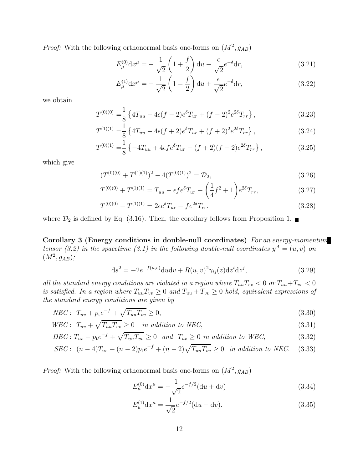*Proof:* With the following orthonormal basis one-forms on  $(M^2, g_{AB})$ 

$$
E_{\mu}^{(0)} dx^{\mu} = -\frac{1}{\sqrt{2}} \left( 1 + \frac{f}{2} \right) du - \frac{\epsilon}{\sqrt{2}} e^{-\delta} dr, \qquad (3.21)
$$

$$
E_{\mu}^{(1)} dx^{\mu} = -\frac{1}{\sqrt{2}} \left( 1 - \frac{f}{2} \right) du + \frac{\epsilon}{\sqrt{2}} e^{-\delta} dr, \qquad (3.22)
$$

we obtain

$$
T^{(0)(0)} = \frac{1}{8} \left\{ 4T_{uu} - 4\epsilon (f-2)e^{\delta} T_{ur} + (f-2)^2 e^{2\delta} T_{rr} \right\},\tag{3.23}
$$

$$
T^{(1)(1)} = \frac{1}{8} \left\{ 4T_{uu} - 4\epsilon (f+2)e^{\delta} T_{ur} + (f+2)^2 e^{2\delta} T_{rr} \right\},\tag{3.24}
$$

$$
T^{(0)(1)} = \frac{1}{8} \left\{-4T_{uu} + 4\epsilon f e^{\delta} T_{ur} - (f+2)(f-2)e^{2\delta} T_{rr}\right\},\tag{3.25}
$$

which give

$$
(T^{(0)(0)} + T^{(1)(1)})^2 - 4(T^{(0)(1)})^2 = \mathcal{D}_2,
$$
\n(3.26)

$$
T^{(0)(0)} + T^{(1)(1)} = T_{uu} - \epsilon f e^{\delta} T_{ur} + \left(\frac{1}{4}f^2 + 1\right) e^{2\delta} T_{rr},\tag{3.27}
$$

$$
T^{(0)(0)} - T^{(1)(1)} = 2\epsilon e^{\delta} T_{ur} - f e^{2\delta} T_{rr}.
$$
\n(3.28)

where  $\mathcal{D}_2$  is defined by Eq. (3.16). Then, the corollary follows from Proposition 1.

Corollary 3 (Energy conditions in double-null coordinates) *For an energy-momentum tensor (3.2) in the spacetime (3.1) in the following double-null coordinates*  $y^A = (u, v)$  *on*  $(M^2, g_{AB})$ ;

$$
ds^{2} = -2e^{-f(u,v)}dudv + R(u,v)^{2}\gamma_{ij}(z)dz^{i}dz^{j}, \qquad (3.29)
$$

*all the standard energy conditions are violated in a region where*  $T_{uu}T_{vv} < 0$  or  $T_{uu}+T_{vv} < 0$ *is satisfied. In a region where*  $T_{uu}T_{vv} \geq 0$  *and*  $T_{uu} + T_{vv} \geq 0$  *hold, equivalent expressions of the standard energy conditions are given by*

$$
NEC: T_{uv} + p_t e^{-f} + \sqrt{T_{uu} T_{vv}} \ge 0,
$$
\n(3.30)

$$
WEC: T_{uv} + \sqrt{T_{uu}T_{vv}} \ge 0 \quad in \ addition \ to \ NEC,
$$
\n
$$
(3.31)
$$

$$
DEC: T_{uv} - p_t e^{-f} + \sqrt{T_{uu} T_{vv}} \ge 0 \quad and \quad T_{uv} \ge 0 \quad in \text{ addition to WEC}, \tag{3.32}
$$

$$
SEC: (n-4)T_{uv} + (n-2)p_t e^{-f} + (n-2)\sqrt{T_{uu}T_{vv}} \ge 0 \text{ in addition to NEC.} \quad (3.33)
$$

*Proof:* With the following orthonormal basis one-forms on  $(M^2, g_{AB})$ 

$$
E_{\mu}^{(0)} \mathrm{d}x^{\mu} = -\frac{1}{\sqrt{2}} e^{-f/2} (\mathrm{d}u + \mathrm{d}v) \tag{3.34}
$$

$$
E_{\mu}^{(1)} dx^{\mu} = \frac{1}{\sqrt{2}} e^{-f/2} (du - dv).
$$
 (3.35)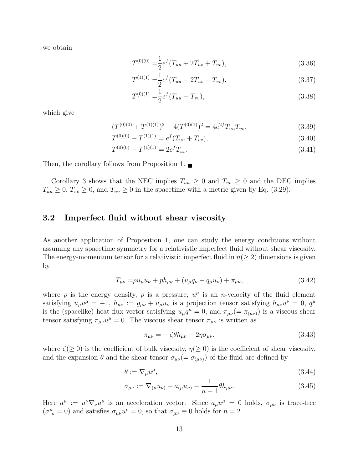we obtain

$$
T^{(0)(0)} = \frac{1}{2} e^f (T_{uu} + 2T_{uv} + T_{vv}), \qquad (3.36)
$$

$$
T^{(1)(1)} = \frac{1}{2} e^f (T_{uu} - 2T_{uv} + T_{vv}), \tag{3.37}
$$

$$
T^{(0)(1)} = \frac{1}{2} e^f (T_{uu} - T_{vv}), \qquad (3.38)
$$

which give

$$
(T^{(0)(0)} + T^{(1)(1)})^2 - 4(T^{(0)(1)})^2 = 4e^{2f}T_{uu}T_{vv},
$$
\n(3.39)

$$
T^{(0)(0)} + T^{(1)(1)} = e^f(T_{uu} + T_{vv}), \qquad (3.40)
$$

$$
T^{(0)(0)} - T^{(1)(1)} = 2e^f T_{uv}.
$$
\n(3.41)

Then, the corollary follows from Proposition 1.

Corollary 3 shows that the NEC implies  $T_{uu} \geq 0$  and  $T_{vv} \geq 0$  and the DEC implies  $T_{uu} \geq 0$ ,  $T_{vv} \geq 0$ , and  $T_{uv} \geq 0$  in the spacetime with a metric given by Eq. (3.29).

### 3.2 Imperfect fluid without shear viscosity

As another application of Proposition 1, one can study the energy conditions without assuming any spacetime symmetry for a relativistic imperfect fluid without shear viscosity. The energy-momentum tensor for a relativistic imperfect fluid in  $n(> 2)$  dimensions is given by

$$
T_{\mu\nu} = \rho u_{\mu} u_{\nu} + p h_{\mu\nu} + (u_{\mu} q_{\nu} + q_{\mu} u_{\nu}) + \pi_{\mu\nu},
$$
\n(3.42)

where  $\rho$  is the energy density,  $p$  is a pressure,  $u^{\mu}$  is an *n*-velocity of the fluid element satisfying  $u_{\mu}u^{\mu} = -1$ ,  $h_{\mu\nu} := g_{\mu\nu} + u_{\mu}u_{\nu}$  is a projection tensor satisfying  $h_{\mu\nu}u^{\nu} = 0$ ,  $q^{\mu}$ is the (spacelike) heat flux vector satisfying  $u_{\mu}q^{\mu} = 0$ , and  $\pi_{\mu\nu} (= \pi_{(\mu\nu)})$  is a viscous shear tensor satisfying  $\pi_{\mu\nu}u^{\mu}=0$ . The viscous shear tensor  $\pi_{\mu\nu}$  is written as

$$
\pi_{\mu\nu} = -\zeta \theta h_{\mu\nu} - 2\eta \sigma_{\mu\nu},\tag{3.43}
$$

where  $\zeta(\geq 0)$  is the coefficient of bulk viscosity,  $\eta(\geq 0)$  is the coefficient of shear viscosity, and the expansion  $\theta$  and the shear tensor  $\sigma_{\mu\nu} (= \sigma_{(\mu\nu)})$  of the fluid are defined by

$$
\theta := \nabla_{\mu} u^{\mu},\tag{3.44}
$$

$$
\sigma_{\mu\nu} := \nabla_{(\mu} u_{\nu)} + a_{(\mu} u_{\nu)} - \frac{1}{n-1} \theta h_{\mu\nu}.
$$
\n(3.45)

Here  $a^{\mu} := u^{\nu} \nabla_{\nu} u^{\mu}$  is an acceleration vector. Since  $a_{\mu} u^{\mu} = 0$  holds,  $\sigma_{\mu\nu}$  is trace-free  $(\sigma^{\mu}_{\ \mu} = 0)$  and satisfies  $\sigma_{\mu\nu}u^{\nu} = 0$ , so that  $\sigma_{\mu\nu} \equiv 0$  holds for  $n = 2$ .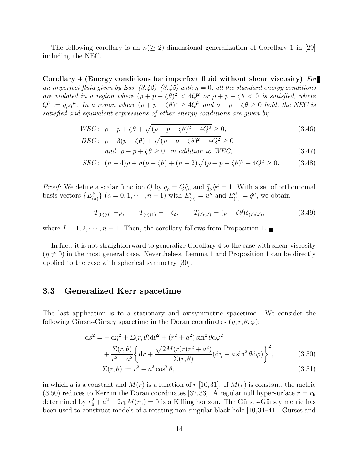The following corollary is an  $n(\geq 2)$ -dimensional generalization of Corollary 1 in [29] including the NEC.

Corollary 4 (Energy conditions for imperfect fluid without shear viscosity) *For an imperfect fluid given by Eqs.*  $(3.42)$ – $(3.45)$  with  $\eta = 0$ , all the standard energy conditions *are violated in a region where*  $(\rho + p - \zeta \theta)^2 < 4Q^2$  *or*  $\rho + p - \zeta \theta < 0$  *is satisfied, where*  $Q^2 := q_\mu q^\mu$ . In a region where  $(\rho + p - \zeta \theta)^2 \ge 4Q^2$  and  $\rho + p - \zeta \theta \ge 0$  hold, the NEC is *satisfied and equivalent expressions of other energy conditions are given by*

$$
WEC: \ \rho - p + \zeta \theta + \sqrt{(\rho + p - \zeta \theta)^2 - 4Q^2} \ge 0,
$$
\n
$$
DDC = 2(\zeta - 12) \sqrt{(\rho + p - \zeta \theta)^2 - 4Q^2} \ge 0.
$$
\n(3.46)

$$
DEC: \ \rho - 3(p - \zeta\theta) + \sqrt{(\rho + p - \zeta\theta)^2 - 4Q^2} \ge 0
$$
  
and  $\rho - p + \zeta\theta \ge 0$  in addition to WEC, (3.47)

$$
SEC: (n-4)\rho + n(p-\zeta\theta) + (n-2)\sqrt{(\rho+p-\zeta\theta)^2 - 4Q^2} \ge 0.
$$
 (3.48)

*Proof:* We define a scalar function Q by  $q_{\rho} = Q\tilde{q}_{\mu}$  and  $\tilde{q}_{\mu}\tilde{q}^{\mu} = 1$ . With a set of orthonormal basis vectors  $\{E^{\mu}_{(c)}\}$  $\{a=0,1,\dots,n-1\}$  with  $E_{(0)}^{\mu} = u^{\mu}$  and  $E_{(1)}^{\mu} = \tilde{q}^{\mu}$ , we obtain

$$
T_{(0)(0)} = \rho, \qquad T_{(0)(1)} = -Q, \qquad T_{(I)(J)} = (p - \zeta \theta) \delta_{(I)(J)}, \tag{3.49}
$$

where  $I = 1, 2, \dots, n-1$ . Then, the corollary follows from Proposition 1.

In fact, it is not straightforward to generalize Corollary 4 to the case with shear viscosity  $(\eta \neq 0)$  in the most general case. Nevertheless, Lemma 1 and Proposition 1 can be directly applied to the case with spherical symmetry [30].

### 3.3 Generalized Kerr spacetime

The last application is to a stationary and axisymmetric spacetime. We consider the following Gürses-Gürsey spacetime in the Doran coordinates  $(\eta, r, \theta, \varphi)$ :

$$
ds^{2} = -d\eta^{2} + \Sigma(r,\theta)d\theta^{2} + (r^{2} + a^{2})\sin^{2}\theta d\varphi^{2}
$$
  
+ 
$$
\frac{\Sigma(r,\theta)}{r^{2} + a^{2}} \left\{ dr + \frac{\sqrt{2M(r)r(r^{2} + a^{2})}}{\Sigma(r,\theta)}(d\eta - a\sin^{2}\theta d\varphi) \right\}^{2},
$$
(3.50)

$$
\Sigma(r,\theta) := r^2 + a^2 \cos^2 \theta,\tag{3.51}
$$

in which a is a constant and  $M(r)$  is a function of r [10,31]. If  $M(r)$  is constant, the metric (3.50) reduces to Kerr in the Doran coordinates [32,33]. A regular null hypersurface  $r = r<sub>h</sub>$ determined by  $r_h^2 + a^2 - 2r_h M(r_h) = 0$  is a Killing horizon. The Gürses-Gürsey metric has been used to construct models of a rotating non-singular black hole  $[10,34-41]$ . Gürses and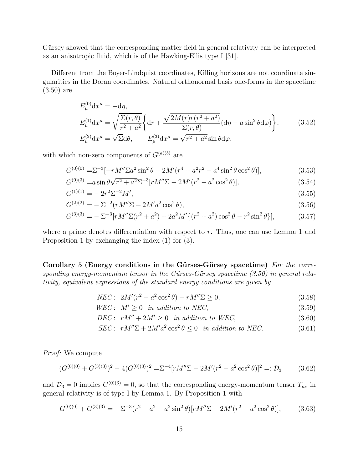Gürsey showed that the corresponding matter field in general relativity can be interpreted as an anisotropic fluid, which is of the Hawking-Ellis type I [31].

Different from the Boyer-Lindquist coordinates, Killing horizons are not coordinate singularities in the Doran coordinates. Natural orthonormal basis one-forms in the spacetime (3.50) are

$$
E_{\mu}^{(0)} \mathrm{d}x^{\mu} = -\mathrm{d}\eta,
$$
  
\n
$$
E_{\mu}^{(1)} \mathrm{d}x^{\mu} = \sqrt{\frac{\Sigma(r,\theta)}{r^2 + a^2}} \left\{ \mathrm{d}r + \frac{\sqrt{2M(r)r(r^2 + a^2)}}{\Sigma(r,\theta)} (\mathrm{d}\eta - a\sin^2\theta \mathrm{d}\varphi) \right\},
$$
\n
$$
(3.52)
$$
  
\n
$$
E_{\mu}^{(2)} \mathrm{d}x^{\mu} = \sqrt{\Sigma} \mathrm{d}\theta, \qquad E_{\mu}^{(3)} \mathrm{d}x^{\mu} = \sqrt{r^2 + a^2} \sin\theta \mathrm{d}\varphi.
$$

with which non-zero components of  $G^{(a)(b)}$  are

$$
G^{(0)(0)} = \Sigma^{-3} [-rM''\Sigma a^2 \sin^2 \theta + 2M'(r^4 + a^2r^2 - a^4 \sin^2 \theta \cos^2 \theta)],
$$
\n(3.53)

$$
G^{(0)(3)} = a \sin \theta \sqrt{r^2 + a^2} \Sigma^{-3} [r M'' \Sigma - 2M'(r^2 - a^2 \cos^2 \theta)],
$$
\n(3.54)

$$
G^{(1)(1)} = -2r^2 \Sigma^{-2} M',\tag{3.55}
$$

$$
G^{(2)(2)} = -\Sigma^{-2} (rM''\Sigma + 2M'a^2\cos^2\theta),
$$
\n(3.56)

$$
G^{(3)(3)} = -\Sigma^{-3} [r M'' \Sigma (r^2 + a^2) + 2a^2 M' \{ (r^2 + a^2) \cos^2 \theta - r^2 \sin^2 \theta \}],
$$
 (3.57)

where a prime denotes differentiation with respect to  $r$ . Thus, one can use Lemma 1 and Proposition 1 by exchanging the index (1) for (3).

Corollary 5 (Energy conditions in the Gürses-Gürsey spacetime) *For the corresponding energy-momentum tensor in the Gürses-Gürsey spacetime (3.50) in general relativity, equivalent expressions of the standard energy conditions are given by*

$$
NEC: 2M'(r^2 - a^2 \cos^2 \theta) - rM''\Sigma \ge 0,
$$
\n(3.58)

$$
WEC: M' \ge 0 \quad in \ addition \ to \ NEC,
$$
\n
$$
(3.59)
$$

*DEC* :  $rM'' + 2M' > 0$  *in addition to WEC*, (3.60)

$$
SEC: rM''\Sigma + 2M'a^2\cos^2\theta \le 0 \text{ in addition to NEC.}
$$
 (3.61)

*Proof:* We compute

$$
(G^{(0)(0)} + G^{(3)(3)})^2 - 4(G^{(0)(3)})^2 = \Sigma^{-4} [rM''\Sigma - 2M'(r^2 - a^2\cos^2\theta)]^2 =: \mathcal{D}_3
$$
 (3.62)

and  $\mathcal{D}_3 = 0$  implies  $G^{(0)(3)} = 0$ , so that the corresponding energy-momentum tensor  $T_{\mu\nu}$  in general relativity is of type I by Lemma 1. By Proposition 1 with

$$
G^{(0)(0)} + G^{(3)(3)} = -\Sigma^{-3}(r^2 + a^2 + a^2 \sin^2 \theta)[rM''\Sigma - 2M'(r^2 - a^2 \cos^2 \theta)],
$$
 (3.63)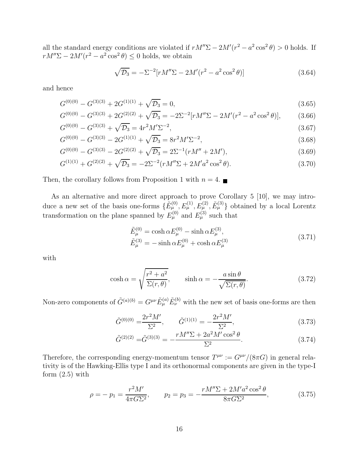all the standard energy conditions are violated if  $rM''\Sigma - 2M'(r^2 - a^2\cos^2\theta) > 0$  holds. If  $rM''\Sigma - 2M'(r^2 - a^2\cos^2\theta) \leq 0$  holds, we obtain

$$
\sqrt{\mathcal{D}_3} = -\Sigma^{-2} [r M'' \Sigma - 2M'(r^2 - a^2 \cos^2 \theta)] \tag{3.64}
$$

and hence

$$
G^{(0)(0)} - G^{(3)(3)} + 2G^{(1)(1)} + \sqrt{\mathcal{D}_3} = 0,
$$
\n(3.65)

$$
G^{(0)(0)} - G^{(3)(3)} + 2G^{(2)(2)} + \sqrt{\mathcal{D}_3} = -2\Sigma^{-2} [rM''\Sigma - 2M'(r^2 - a^2\cos^2\theta)],\tag{3.66}
$$

$$
G^{(0)(0)} - G^{(3)(3)} + \sqrt{\mathcal{D}_3} = 4r^2 M' \Sigma^{-2},\tag{3.67}
$$

$$
G^{(0)(0)} - G^{(3)(3)} - 2G^{(1)(1)} + \sqrt{\mathcal{D}_3} = 8r^2 M' \Sigma^{-2},\tag{3.68}
$$

$$
G^{(0)(0)} - G^{(3)(3)} - 2G^{(2)(2)} + \sqrt{\mathcal{D}_3} = 2\Sigma^{-1}(rM'' + 2M'),\tag{3.69}
$$

$$
G^{(1)(1)} + G^{(2)(2)} + \sqrt{\mathcal{D}_3} = -2\Sigma^{-2} (rM''\Sigma + 2M'a^2\cos^2\theta). \tag{3.70}
$$

Then, the corollary follows from Proposition 1 with  $n = 4$ .

As an alternative and more direct approach to prove Corollary 5 [10], we may introduce a new set of the basis one-forms  $\{\tilde{E}_{\mu}^{(0)}, E_{\mu}^{(1)}, E_{\mu}^{(2)}, \tilde{E}_{\mu}^{(3)}\}$  obtained by a local Lorentz transformation on the plane spanned by  $E^{(0)}_{\mu}$  and  $E^{(3)}_{\mu}$  such that

$$
\tilde{E}_{\mu}^{(0)} = \cosh \alpha E_{\mu}^{(0)} - \sinh \alpha E_{\mu}^{(3)}, \n\tilde{E}_{\mu}^{(3)} = -\sinh \alpha E_{\mu}^{(0)} + \cosh \alpha E_{\mu}^{(3)}
$$
\n(3.71)

with

$$
\cosh \alpha = \sqrt{\frac{r^2 + a^2}{\Sigma(r, \theta)}}, \qquad \sinh \alpha = -\frac{a \sin \theta}{\sqrt{\Sigma(r, \theta)}}.
$$
\n(3.72)

Non-zero components of  $\tilde{G}^{(a)(b)} = G^{\mu\nu} \tilde{E}^{(a)}_\mu \tilde{E}^{(b)}_\nu$  with the new set of basis one-forms are then

$$
\tilde{G}^{(0)(0)} = \frac{2r^2M'}{\Sigma^2}, \qquad \tilde{G}^{(1)(1)} = -\frac{2r^2M'}{\Sigma^2}, \tag{3.73}
$$

$$
\tilde{G}^{(2)(2)} = \tilde{G}^{(3)(3)} = -\frac{rM''\Sigma + 2a^2M'\cos^2\theta}{\Sigma^2}.
$$
\n(3.74)

Therefore, the corresponding energy-momentum tensor  $T^{\mu\nu} := G^{\mu\nu}/(8\pi G)$  in general relativity is of the Hawking-Ellis type I and its orthonormal components are given in the type-I form  $(2.5)$  with

$$
\rho = -p_1 = \frac{r^2 M'}{4\pi G \Sigma^2}, \qquad p_2 = p_3 = -\frac{r M'' \Sigma + 2M' a^2 \cos^2 \theta}{8\pi G \Sigma^2}, \tag{3.75}
$$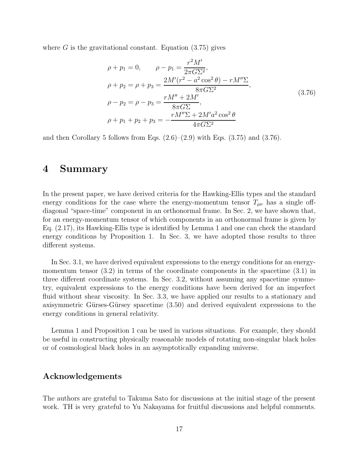where  $G$  is the gravitational constant. Equation  $(3.75)$  gives

$$
\rho + p_1 = 0, \qquad \rho - p_1 = \frac{r^2 M'}{2\pi G \Sigma^2},
$$
  
\n
$$
\rho + p_2 = \rho + p_3 = \frac{2M'(r^2 - a^2 \cos^2 \theta) - rM'' \Sigma}{8\pi G \Sigma^2},
$$
  
\n
$$
\rho - p_2 = \rho - p_3 = \frac{rM'' + 2M'}{8\pi G \Sigma},
$$
  
\n
$$
\rho + p_1 + p_2 + p_3 = -\frac{rM'' \Sigma + 2M'a^2 \cos^2 \theta}{4\pi G \Sigma^2}
$$
\n(3.76)

and then Corollary 5 follows from Eqs.  $(2.6)$ – $(2.9)$  with Eqs.  $(3.75)$  and  $(3.76)$ .

### 4 Summary

In the present paper, we have derived criteria for the Hawking-Ellis types and the standard energy conditions for the case where the energy-momentum tensor  $T_{\mu\nu}$  has a single offdiagonal "space-time" component in an orthonormal frame. In Sec. 2, we have shown that, for an energy-momentum tensor of which components in an orthonormal frame is given by Eq. (2.17), its Hawking-Ellis type is identified by Lemma 1 and one can check the standard energy conditions by Proposition 1. In Sec. 3, we have adopted those results to three different systems.

In Sec. 3.1, we have derived equivalent expressions to the energy conditions for an energymomentum tensor (3.2) in terms of the coordinate components in the spacetime (3.1) in three different coordinate systems. In Sec. 3.2, without assuming any spacetime symmetry, equivalent expressions to the energy conditions have been derived for an imperfect fluid without shear viscosity. In Sec. 3.3, we have applied our results to a stationary and axisymmetric Gürses-Gürsey spacetime (3.50) and derived equivalent expressions to the energy conditions in general relativity.

Lemma 1 and Proposition 1 can be used in various situations. For example, they should be useful in constructing physically reasonable models of rotating non-singular black holes or of cosmological black holes in an asymptotically expanding universe.

### Acknowledgements

The authors are grateful to Takuma Sato for discussions at the initial stage of the present work. TH is very grateful to Yu Nakayama for fruitful discussions and helpful comments.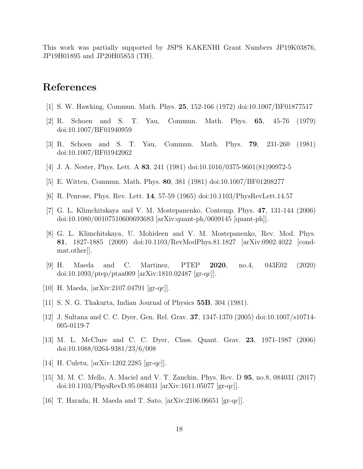This work was partially supported by JSPS KAKENHI Grant Numbers JP19K03876, JP19H01895 and JP20H05853 (TH).

## References

- [1] S. W. Hawking, Commun. Math. Phys. 25, 152-166 (1972) doi:10.1007/BF01877517
- [2] R. Schoen and S. T. Yau, Commun. Math. Phys. 65, 45-76 (1979) doi:10.1007/BF01940959
- [3] R. Schoen and S. T. Yau, Commun. Math. Phys. 79, 231-260 (1981) doi:10.1007/BF01942062
- [4] J. A. Nester, Phys. Lett. A 83, 241 (1981) doi:10.1016/0375-9601(81)90972-5
- [5] E. Witten, Commun. Math. Phys. 80, 381 (1981) doi:10.1007/BF01208277
- [6] R. Penrose, Phys. Rev. Lett. 14, 57-59 (1965) doi:10.1103/PhysRevLett.14.57
- [7] G. L. Klimchitskaya and V. M. Mostepanenko, Contemp. Phys. 47, 131-144 (2006) doi:10.1080/00107510600693683 [arXiv:quant-ph/0609145 [quant-ph]].
- [8] G. L. Klimchitskaya, U. Mohideen and V. M. Mostepanenko, Rev. Mod. Phys. 81, 1827-1885 (2009) doi:10.1103/RevModPhys.81.1827 [arXiv:0902.4022 [condmat.other]].
- [9] H. Maeda and C. Martinez, PTEP 2020, no.4, 043E02 (2020) doi:10.1093/ptep/ptaa009 [arXiv:1810.02487 [gr-qc]].
- [10] H. Maeda, [arXiv:2107.04791 [gr-qc]].
- [11] S. N. G. Thakurta, Indian Journal of Physics 55B, 304 (1981).
- [12] J. Sultana and C. C. Dyer, Gen. Rel. Grav. 37, 1347-1370 (2005) doi:10.1007/s10714- 005-0119-7
- [13] M. L. McClure and C. C. Dyer, Class. Quant. Grav. 23, 1971-1987 (2006) doi:10.1088/0264-9381/23/6/008
- [14] H. Culetu, [arXiv:1202.2285 [gr-qc]].
- [15] M. M. C. Mello, A. Maciel and V. T. Zanchin, Phys. Rev. D 95, no.8, 084031 (2017) doi:10.1103/PhysRevD.95.084031 [arXiv:1611.05077 [gr-qc]].
- [16] T. Harada, H. Maeda and T. Sato, [arXiv:2106.06651 [gr-qc]].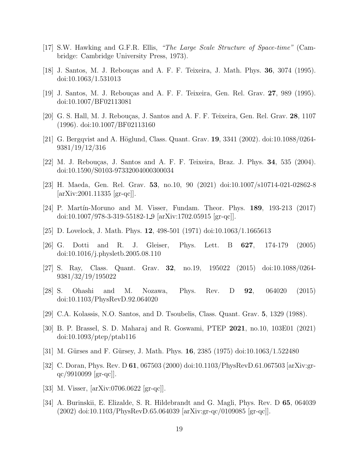- [17] S.W. Hawking and G.F.R. Ellis, *"The Large Scale Structure of Space-time"* (Cambridge: Cambridge University Press, 1973).
- [18] J. Santos, M. J. Rebouças and A. F. F. Teixeira, J. Math. Phys. **36**, 3074 (1995). doi:10.1063/1.531013
- [19] J. Santos, M. J. Rebou¸cas and A. F. F. Teixeira, Gen. Rel. Grav. 27, 989 (1995). doi:10.1007/BF02113081
- [20] G. S. Hall, M. J. Rebouças, J. Santos and A. F. F. Teixeira, Gen. Rel. Grav.  $28$ , 1107 (1996). doi:10.1007/BF02113160
- [21] G. Bergqvist and A. Höglund, Class. Quant. Grav. 19, 3341 (2002). doi:10.1088/0264-9381/19/12/316
- [22] M. J. Rebouças, J. Santos and A. F. F. Teixeira, Braz. J. Phys. 34, 535 (2004). doi:10.1590/S0103-97332004000300034
- [23] H. Maeda, Gen. Rel. Grav. 53, no.10, 90 (2021) doi:10.1007/s10714-021-02862-8  $|\text{arXiv:}2001.11335$   $|\text{gr-}qc||$ .
- [24] P. Martín-Moruno and M. Visser, Fundam. Theor. Phys. **189**, 193-213 (2017) doi:10.1007/978-3-319-55182-1 9 [arXiv:1702.05915 [gr-qc]].
- [25] D. Lovelock, J. Math. Phys. 12, 498-501 (1971) doi:10.1063/1.1665613
- [26] G. Dotti and R. J. Gleiser, Phys. Lett. B 627, 174-179 (2005) doi:10.1016/j.physletb.2005.08.110
- [27] S. Ray, Class. Quant. Grav. 32, no.19, 195022 (2015) doi:10.1088/0264- 9381/32/19/195022
- [28] S. Ohashi and M. Nozawa, Phys. Rev. D 92, 064020 (2015) doi:10.1103/PhysRevD.92.064020
- [29] C.A. Kolassis, N.O. Santos, and D. Tsoubelis, Class. Quant. Grav. 5, 1329 (1988).
- [30] B. P. Brassel, S. D. Maharaj and R. Goswami, PTEP 2021, no.10, 103E01 (2021) doi:10.1093/ptep/ptab116
- [31] M. Gürses and F. Gürsey, J. Math. Phys. **16**, 2385 (1975) doi:10.1063/1.522480
- [32] C. Doran, Phys. Rev. D 61, 067503 (2000) doi:10.1103/PhysRevD.61.067503 [arXiv:grqc/9910099 [gr-qc]].
- [33] M. Visser, [arXiv:0706.0622 [gr-qc]].
- [34] A. Burinskii, E. Elizalde, S. R. Hildebrandt and G. Magli, Phys. Rev. D 65, 064039 (2002) doi:10.1103/PhysRevD.65.064039 [arXiv:gr-qc/0109085 [gr-qc]].